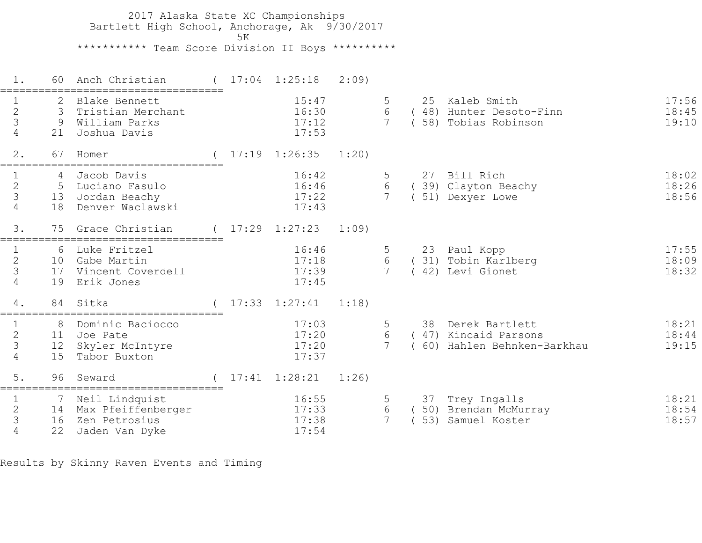2017 Alaska State XC Championships Bartlett High School, Anchorage, Ak 9/30/2017  $5K$  \*\*\*\*\*\*\*\*\*\*\* Team Score Division II Boys \*\*\*\*\*\*\*\*\*\* 1. 60 Anch Christian ( 17:04 1:25:18 2:09) =================================== 1 2 Blake Bennett 15:47 5 25 Kaleb Smith 17:56 2 3 Tristian Merchant 16:30 6 ( 48) Hunter Desoto-Finn 18:45 3 9 William Parks 17:12 7 ( 58) Tobias Robinson 19:10 4 21 Joshua Davis 17:53 2. 67 Homer ( 17:19 1:26:35 1:20) =================================== 1 4 Jacob Davis 16:42 5 27 Bill Rich 18:02 2 5 Luciano Fasulo 16:46 6 ( 39) Clayton Beachy 18:26 3 13 Jordan Beachy 17:22 7 ( 51) Dexyer Lowe 18:56 4 18 Denver Waclawski 17:43 3. 75 Grace Christian ( 17:29 1:27:23 1:09) =================================== 1 6 Luke Fritzel 16:46 5 23 Paul Kopp 17:55 2 10 Gabe Martin 17:18 6 ( 31) Tobin Karlberg 18:09 3 17 Vincent Coverdell 17:39 7 ( 42) Levi Gionet 18:32 4 19 Erik Jones 17:45 4. 84 Sitka ( 17:33 1:27:41 1:18) =================================== 1 8 Dominic Baciocco 17:03 5 38 Derek Bartlett 18:21 2 11 Joe Pate 17:20 6 ( 47) Kincaid Parsons 18:44 3 12 Skyler McIntyre 17:20 7 ( 60) Hahlen Behnken-Barkhau 19:15 4 15 Tabor Buxton 17:37 5. 96 Seward ( 17:41 1:28:21 1:26) =================================== 1 1 7 Neil Lindquist 16:55 5 37 Trey Ingalls 18:21 2 14 Max Pfeiffenberger 17:33 6 ( 50) Brendan McMurray 18:54 3 16 Zen Petrosius 17:38 7 ( 53) Samuel Koster 18:57 4 22 Jaden Van Dyke 17:54

Results by Skinny Raven Events and Timing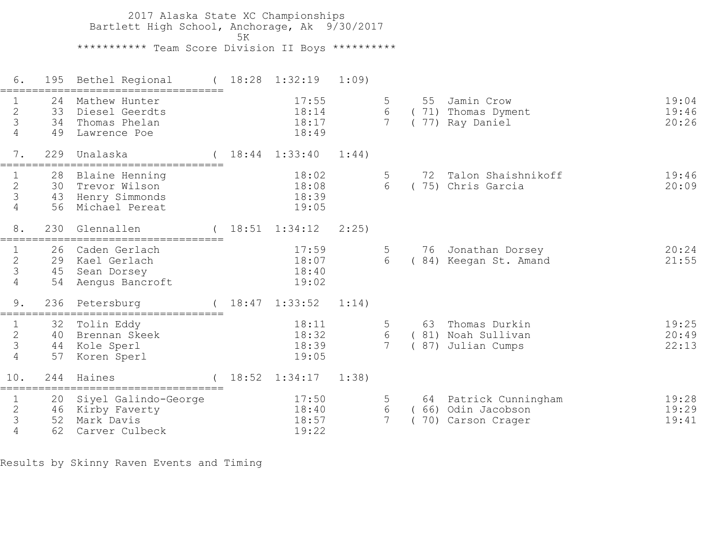2017 Alaska State XC Championships Bartlett High School, Anchorage, Ak 9/30/2017  $5K$  \*\*\*\*\*\*\*\*\*\*\* Team Score Division II Boys \*\*\*\*\*\*\*\*\*\* 6. 195 Bethel Regional ( 18:28 1:32:19 1:09) =================================== 1 24 Mathew Hunter 17:55 5 55 Jamin Crow 19:04 2 33 Diesel Geerdts 18:14 6 ( 71) Thomas Dyment 19:46 3 34 Thomas Phelan 18:17 7 ( 77) Ray Daniel 20:26 4 49 Lawrence Poe 18:49 7. 229 Unalaska ( 18:44 1:33:40 1:44) =================================== 1 28 Blaine Henning 18:02 5 72 Talon Shaishnikoff 19:46 2 30 Trevor Wilson 18:08 6 ( 75) Chris Garcia 20:09 3 43 Henry Simmonds 18:39 4 56 Michael Pereat 19:05 8. 230 Glennallen ( 18:51 1:34:12 2:25) =================================== 1 26 Caden Gerlach 17:59 5 76 Jonathan Dorsey 20:24 2 29 Kael Gerlach 18:07 6 ( 84) Keegan St. Amand 21:55 1 26 Caden Gerlach 17:59<br>
2 29 Kael Gerlach 18:07<br>
3 45 Sean Dorsey 18:40<br>
4 54 Aengus Bancroft 19:02 4 54 Aengus Bancroft 9. 236 Petersburg ( 18:47 1:33:52 1:14) =================================== 18:11 5 63 Thomas Durkin 19:25 2 40 Brennan Skeek 18:32 6 ( 81) Noah Sullivan 20:49 3 44 Kole Sperl 18:39 7 ( 87) Julian Cumps 22:13 1 52 Tolin Eddy<br>
2 40 Brennan Skeek<br>
3 44 Kole Sperl 18:32<br>
4 57 Koren Sperl 19:05 10. 244 Haines ( 18:52 1:34:17 1:38) =================================== 1 20 Siyel Galindo-George 17:50 5 64 Patrick Cunningham 19:28 2 46 Kirby Faverty 18:40 6 ( 66) Odin Jacobson 19:29 3 52 Mark Davis 18:57 7 ( 70) Carson Crager 19:41 4 62 Carver Culbeck 19:22

Results by Skinny Raven Events and Timing